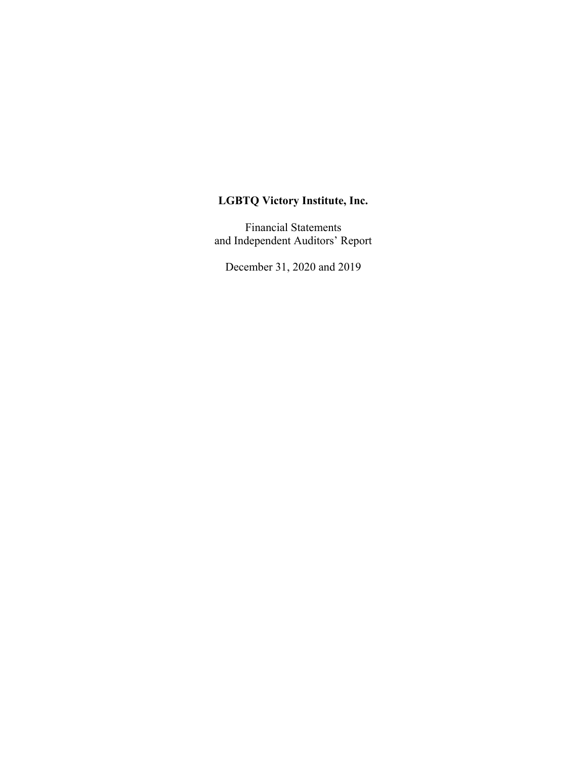Financial Statements and Independent Auditors' Report

December 31, 2020 and 2019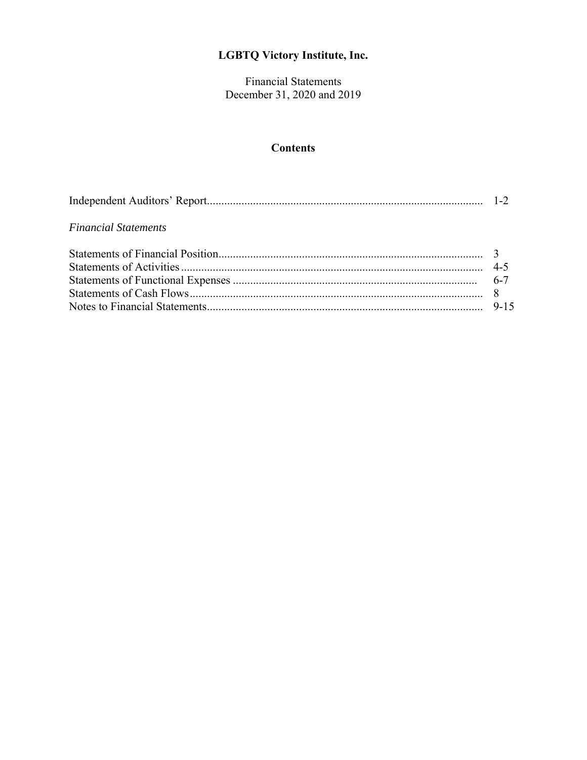Financial Statements December 31, 2020 and 2019

## **Contents**

| <b>Financial Statements</b> |  |
|-----------------------------|--|
|                             |  |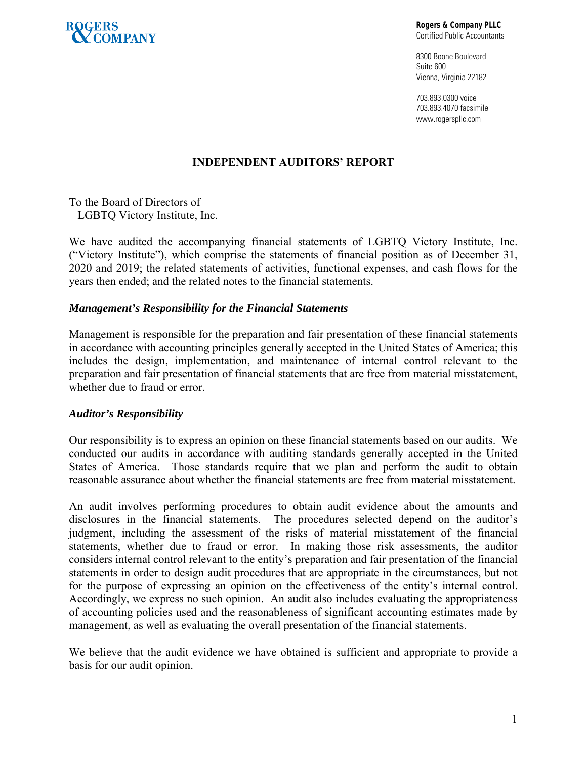

**Rogers & Company PLLC**  Certified Public Accountants

8300 Boone Boulevard Suite 600 Vienna, Virginia 22182

703.893.0300 voice 703.893.4070 facsimile www.rogerspllc.com

### **INDEPENDENT AUDITORS' REPORT**

To the Board of Directors of LGBTQ Victory Institute, Inc.

We have audited the accompanying financial statements of LGBTQ Victory Institute, Inc. ("Victory Institute"), which comprise the statements of financial position as of December 31, 2020 and 2019; the related statements of activities, functional expenses, and cash flows for the years then ended; and the related notes to the financial statements.

#### *Management's Responsibility for the Financial Statements*

Management is responsible for the preparation and fair presentation of these financial statements in accordance with accounting principles generally accepted in the United States of America; this includes the design, implementation, and maintenance of internal control relevant to the preparation and fair presentation of financial statements that are free from material misstatement, whether due to fraud or error.

### *Auditor's Responsibility*

Our responsibility is to express an opinion on these financial statements based on our audits. We conducted our audits in accordance with auditing standards generally accepted in the United States of America. Those standards require that we plan and perform the audit to obtain reasonable assurance about whether the financial statements are free from material misstatement.

An audit involves performing procedures to obtain audit evidence about the amounts and disclosures in the financial statements. The procedures selected depend on the auditor's judgment, including the assessment of the risks of material misstatement of the financial statements, whether due to fraud or error. In making those risk assessments, the auditor considers internal control relevant to the entity's preparation and fair presentation of the financial statements in order to design audit procedures that are appropriate in the circumstances, but not for the purpose of expressing an opinion on the effectiveness of the entity's internal control. Accordingly, we express no such opinion. An audit also includes evaluating the appropriateness of accounting policies used and the reasonableness of significant accounting estimates made by management, as well as evaluating the overall presentation of the financial statements.

We believe that the audit evidence we have obtained is sufficient and appropriate to provide a basis for our audit opinion.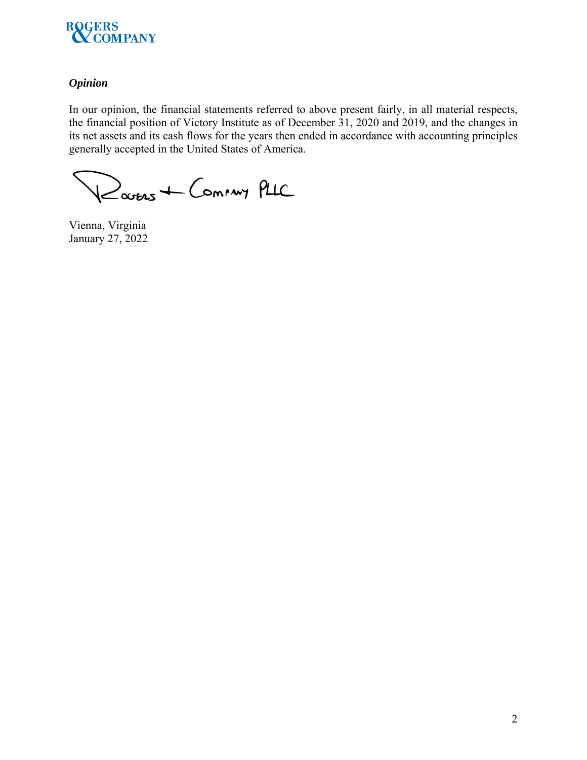

*Opinion* 

In our opinion, the financial statements referred to above present fairly, in all material respects, the financial position of Victory Institute as of December 31, 2020 and 2019, and the changes in its net assets and its cash flows for the years then ended in accordance with accounting principles generally accepted in the United States of America.

Davens + Commy PLIC

Vienna, Virginia January 27, 2022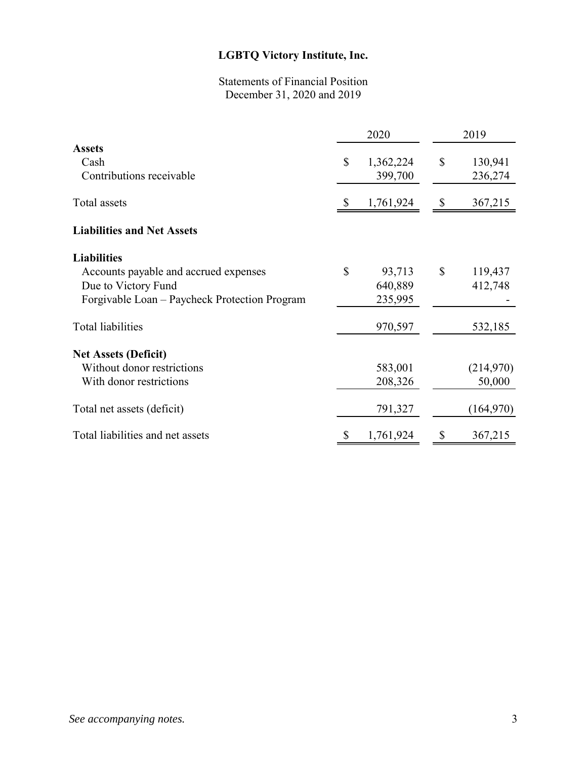## Statements of Financial Position December 31, 2020 and 2019

|                                                                                                                                     |              | 2020                         | 2019                      |                     |  |  |
|-------------------------------------------------------------------------------------------------------------------------------------|--------------|------------------------------|---------------------------|---------------------|--|--|
| <b>Assets</b><br>Cash<br>Contributions receivable                                                                                   | \$           | 1,362,224<br>399,700         | \$                        | 130,941<br>236,274  |  |  |
| Total assets                                                                                                                        | $\mathbb{S}$ | 1,761,924                    | $\boldsymbol{\mathsf{S}}$ | 367,215             |  |  |
| <b>Liabilities and Net Assets</b>                                                                                                   |              |                              |                           |                     |  |  |
| <b>Liabilities</b><br>Accounts payable and accrued expenses<br>Due to Victory Fund<br>Forgivable Loan – Paycheck Protection Program | \$           | 93,713<br>640,889<br>235,995 | \$                        | 119,437<br>412,748  |  |  |
| <b>Total liabilities</b>                                                                                                            |              | 970,597                      |                           | 532,185             |  |  |
| <b>Net Assets (Deficit)</b><br>Without donor restrictions<br>With donor restrictions                                                |              | 583,001<br>208,326           |                           | (214,970)<br>50,000 |  |  |
| Total net assets (deficit)                                                                                                          |              | 791,327                      |                           | (164, 970)          |  |  |
| Total liabilities and net assets                                                                                                    | S            | 1,761,924                    | \$                        | 367,215             |  |  |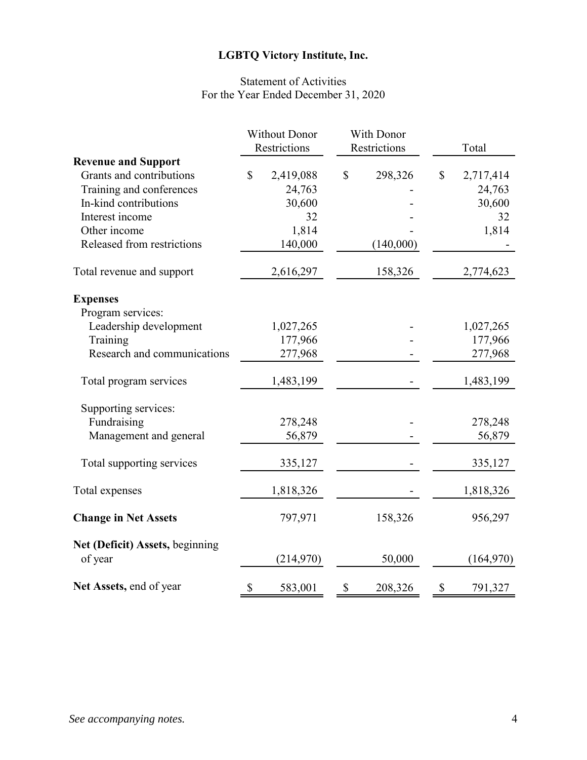## Statement of Activities For the Year Ended December 31, 2020

|                                            |              | <b>Without Donor</b><br>With Donor |    |              |    |           |
|--------------------------------------------|--------------|------------------------------------|----|--------------|----|-----------|
|                                            |              | Restrictions                       |    | Restrictions |    | Total     |
| <b>Revenue and Support</b>                 |              |                                    |    |              |    |           |
| Grants and contributions                   | $\mathbb{S}$ | 2,419,088                          | \$ | 298,326      | \$ | 2,717,414 |
| Training and conferences                   |              | 24,763                             |    |              |    | 24,763    |
| In-kind contributions                      |              | 30,600                             |    |              |    | 30,600    |
| Interest income                            |              | 32                                 |    |              |    | 32        |
| Other income                               |              | 1,814                              |    |              |    | 1,814     |
| Released from restrictions                 |              | 140,000                            |    | (140,000)    |    |           |
| Total revenue and support                  |              | 2,616,297                          |    | 158,326      |    | 2,774,623 |
| <b>Expenses</b>                            |              |                                    |    |              |    |           |
| Program services:                          |              |                                    |    |              |    |           |
| Leadership development                     |              | 1,027,265                          |    |              |    | 1,027,265 |
| Training                                   |              | 177,966                            |    |              |    | 177,966   |
| Research and communications                |              | 277,968                            |    |              |    | 277,968   |
| Total program services                     |              | 1,483,199                          |    |              |    | 1,483,199 |
| Supporting services:                       |              |                                    |    |              |    |           |
| Fundraising                                |              | 278,248                            |    |              |    | 278,248   |
| Management and general                     |              | 56,879                             |    |              |    | 56,879    |
| Total supporting services                  |              | 335,127                            |    |              |    | 335,127   |
| Total expenses                             |              | 1,818,326                          |    |              |    | 1,818,326 |
| <b>Change in Net Assets</b>                |              | 797,971                            |    | 158,326      |    | 956,297   |
| Net (Deficit) Assets, beginning<br>of year |              | (214, 970)                         |    | 50,000       |    | (164,970) |
| Net Assets, end of year                    | \$           | 583,001                            | \$ | 208,326      | \$ | 791,327   |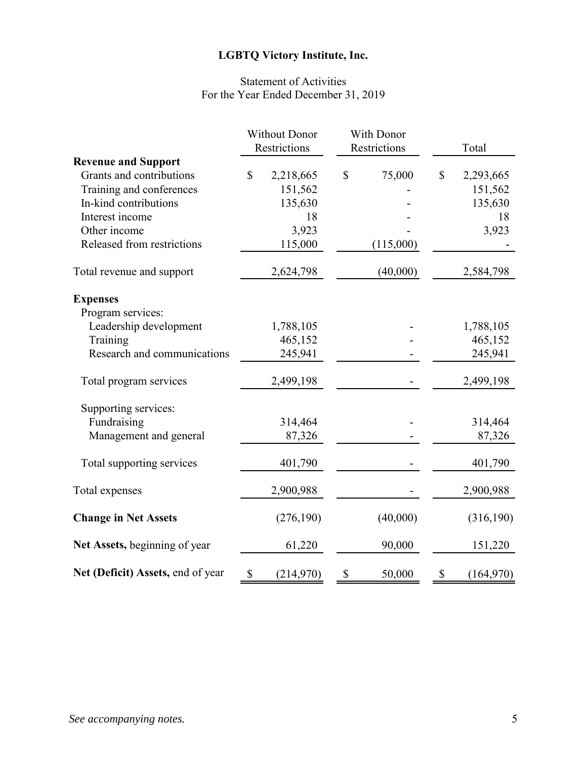## Statement of Activities For the Year Ended December 31, 2019

|                                   | <b>Without Donor</b> |              |              | With Donor |                 |
|-----------------------------------|----------------------|--------------|--------------|------------|-----------------|
|                                   |                      | Restrictions | Restrictions |            | Total           |
| <b>Revenue and Support</b>        |                      |              |              |            |                 |
| Grants and contributions          | \$                   | 2,218,665    | \$           | 75,000     | \$<br>2,293,665 |
| Training and conferences          |                      | 151,562      |              |            | 151,562         |
| In-kind contributions             |                      | 135,630      |              |            | 135,630         |
| Interest income                   |                      | 18           |              |            | 18              |
| Other income                      |                      | 3,923        |              |            | 3,923           |
| Released from restrictions        |                      | 115,000      |              | (115,000)  |                 |
| Total revenue and support         |                      | 2,624,798    |              | (40,000)   | 2,584,798       |
| <b>Expenses</b>                   |                      |              |              |            |                 |
| Program services:                 |                      |              |              |            |                 |
| Leadership development            |                      | 1,788,105    |              |            | 1,788,105       |
| Training                          |                      | 465,152      |              |            | 465,152         |
| Research and communications       |                      | 245,941      |              |            | 245,941         |
| Total program services            |                      | 2,499,198    |              |            | 2,499,198       |
| Supporting services:              |                      |              |              |            |                 |
| Fundraising                       |                      | 314,464      |              |            | 314,464         |
| Management and general            |                      | 87,326       |              |            | 87,326          |
| Total supporting services         |                      | 401,790      |              |            | 401,790         |
| Total expenses                    |                      | 2,900,988    |              |            | 2,900,988       |
| <b>Change in Net Assets</b>       |                      | (276, 190)   |              | (40,000)   | (316, 190)      |
| Net Assets, beginning of year     |                      | 61,220       |              | 90,000     | 151,220         |
| Net (Deficit) Assets, end of year | \$                   | (214,970)    | \$           | 50,000     | \$<br>(164,970) |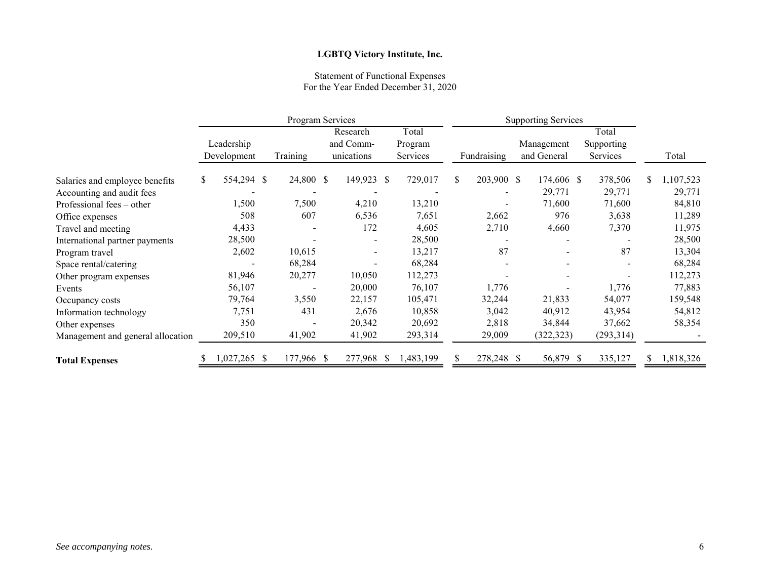#### Statement of Functional Expenses For the Year Ended December 31, 2020

|                                   | Program Services          |  |            |                                     |                          | <b>Supporting Services</b>   |                                          |    |            |  |                                 |       |            |  |           |
|-----------------------------------|---------------------------|--|------------|-------------------------------------|--------------------------|------------------------------|------------------------------------------|----|------------|--|---------------------------------|-------|------------|--|-----------|
|                                   | Leadership<br>Development |  | Training   | Research<br>and Comm-<br>unications |                          | Total<br>Program<br>Services | Management<br>Fundraising<br>and General |    |            |  | Total<br>Supporting<br>Services | Total |            |  |           |
| Salaries and employee benefits    | 554,294 \$<br>S.          |  | 24,800 \$  |                                     | 149,923 \$               | 729,017                      |                                          | S. | 203,900 \$ |  | 174,606 \$                      |       | 378,506    |  | 1,107,523 |
| Accounting and audit fees         |                           |  |            |                                     |                          |                              |                                          |    |            |  | 29,771                          |       | 29,771     |  | 29,771    |
| Professional fees – other         | 1,500                     |  | 7,500      |                                     | 4,210                    | 13,210                       |                                          |    |            |  | 71,600                          |       | 71,600     |  | 84,810    |
| Office expenses                   | 508                       |  | 607        |                                     | 6,536                    | 7,651                        |                                          |    | 2,662      |  | 976                             |       | 3,638      |  | 11,289    |
| Travel and meeting                | 4,433                     |  |            |                                     | 172                      | 4,605                        |                                          |    | 2,710      |  | 4,660                           |       | 7,370      |  | 11,975    |
| International partner payments    | 28,500                    |  |            |                                     | $\overline{\phantom{a}}$ | 28,500                       |                                          |    |            |  |                                 |       |            |  | 28,500    |
| Program travel                    | 2,602                     |  | 10,615     |                                     | $\overline{\phantom{a}}$ | 13,217                       |                                          |    | 87         |  |                                 |       | 87         |  | 13,304    |
| Space rental/catering             |                           |  | 68,284     |                                     |                          | 68,284                       |                                          |    |            |  |                                 |       |            |  | 68,284    |
| Other program expenses            | 81,946                    |  | 20,277     |                                     | 10,050                   | 112,273                      |                                          |    |            |  |                                 |       |            |  | 112,273   |
| Events                            | 56,107                    |  |            |                                     | 20,000                   | 76,107                       |                                          |    | 1,776      |  |                                 |       | 1,776      |  | 77,883    |
| Occupancy costs                   | 79,764                    |  | 3,550      |                                     | 22,157                   | 105,471                      |                                          |    | 32,244     |  | 21,833                          |       | 54,077     |  | 159,548   |
| Information technology            | 7,751                     |  | 431        |                                     | 2,676                    | 10,858                       |                                          |    | 3,042      |  | 40,912                          |       | 43,954     |  | 54,812    |
| Other expenses                    | 350                       |  |            |                                     | 20,342                   | 20,692                       |                                          |    | 2,818      |  | 34,844                          |       | 37,662     |  | 58,354    |
| Management and general allocation | 209,510                   |  | 41,902     |                                     | 41,902                   | 293,314                      |                                          |    | 29,009     |  | (322, 323)                      |       | (293, 314) |  |           |
| <b>Total Expenses</b>             | 1,027,265 \$              |  | 177,966 \$ |                                     | 277,968 \$               | 1,483,199                    |                                          |    | 278,248 \$ |  | 56,879 \$                       |       | 335,127    |  | 1,818,326 |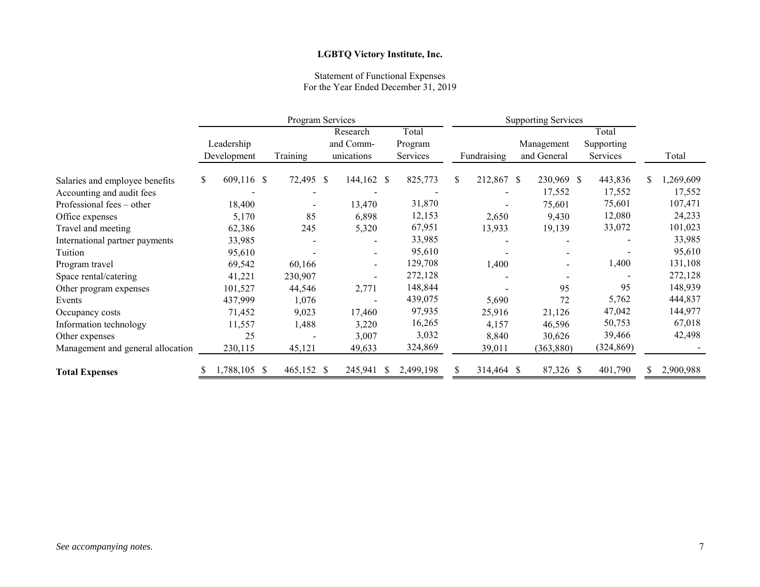#### Statement of Functional Expenses For the Year Ended December 31, 2019

|                                   |                  | Program Services | <b>Supporting Services</b> |                  |                  |             |           |                     |    |           |
|-----------------------------------|------------------|------------------|----------------------------|------------------|------------------|-------------|-----------|---------------------|----|-----------|
|                                   | Leadership       |                  | Research<br>and Comm-      | Total<br>Program |                  | Management  |           | Total<br>Supporting |    |           |
|                                   | Development      | Training         | unications                 | Services         | Fundraising      | and General |           | Services            |    | Total     |
| Salaries and employee benefits    | 609,116 \$<br>S. | 72,495 \$        | 144,162 \$                 | 825,773          | \$<br>212,867 \$ | 230,969 \$  |           | 443,836             | S. | ,269,609  |
| Accounting and audit fees         |                  |                  |                            |                  |                  | 17,552      |           | 17,552              |    | 17,552    |
| Professional fees – other         | 18,400           |                  | 13,470                     | 31,870           |                  | 75,601      |           | 75,601              |    | 107,471   |
| Office expenses                   | 5,170            | 85               | 6,898                      | 12,153           | 2,650            | 9,430       |           | 12,080              |    | 24,233    |
| Travel and meeting                | 62,386           | 245              | 5,320                      | 67,951           | 13,933           | 19,139      |           | 33,072              |    | 101,023   |
| International partner payments    | 33,985           |                  |                            | 33,985           |                  |             |           |                     |    | 33,985    |
| Tuition                           | 95,610           |                  |                            | 95,610           |                  |             |           |                     |    | 95,610    |
| Program travel                    | 69,542           | 60,166           |                            | 129,708          | 1,400            |             |           | 1,400               |    | 131,108   |
| Space rental/catering             | 41,221           | 230,907          |                            | 272,128          |                  |             |           |                     |    | 272,128   |
| Other program expenses            | 101,527          | 44,546           | 2,771                      | 148,844          |                  |             | 95        | 95                  |    | 148,939   |
| Events                            | 437,999          | 1,076            |                            | 439,075          | 5,690            |             | 72        | 5,762               |    | 444,837   |
| Occupancy costs                   | 71,452           | 9,023            | 17,460                     | 97,935           | 25,916           | 21,126      |           | 47,042              |    | 144,977   |
| Information technology            | 11,557           | 1,488            | 3,220                      | 16,265           | 4,157            | 46,596      |           | 50,753              |    | 67,018    |
| Other expenses                    | 25               |                  | 3,007                      | 3,032            | 8,840            | 30,626      |           | 39,466              |    | 42,498    |
| Management and general allocation | 230,115          | 45,121           | 49,633                     | 324,869          | 39,011           | (363, 880)  |           | (324, 869)          |    |           |
| <b>Total Expenses</b>             | 1,788,105 \$     | 465,152 \$       | 245,941                    | 2,499,198<br>-SS | 314,464 \$       |             | 87,326 \$ | 401,790             | \$ | 2,900,988 |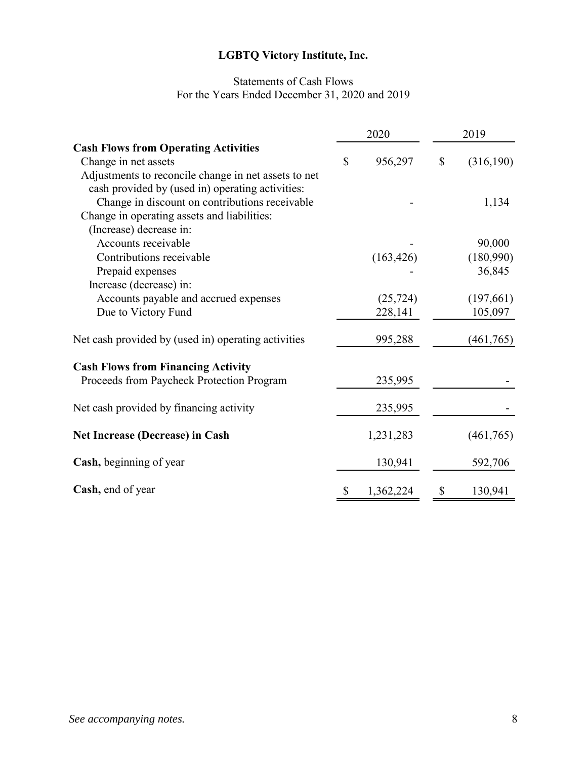## Statements of Cash Flows For the Years Ended December 31, 2020 and 2019

|                                                      |              | 2020       | 2019         |           |  |  |  |
|------------------------------------------------------|--------------|------------|--------------|-----------|--|--|--|
| <b>Cash Flows from Operating Activities</b>          |              |            |              |           |  |  |  |
| Change in net assets                                 | $\mathbb{S}$ | 956,297    | $\mathbb{S}$ | (316,190) |  |  |  |
| Adjustments to reconcile change in net assets to net |              |            |              |           |  |  |  |
| cash provided by (used in) operating activities:     |              |            |              |           |  |  |  |
| Change in discount on contributions receivable       |              |            |              | 1,134     |  |  |  |
| Change in operating assets and liabilities:          |              |            |              |           |  |  |  |
| (Increase) decrease in:                              |              |            |              |           |  |  |  |
| Accounts receivable                                  |              |            |              | 90,000    |  |  |  |
| Contributions receivable                             |              | (163, 426) |              | (180,990) |  |  |  |
| Prepaid expenses                                     |              |            |              | 36,845    |  |  |  |
| Increase (decrease) in:                              |              |            |              |           |  |  |  |
| Accounts payable and accrued expenses                |              | (25, 724)  |              | (197,661) |  |  |  |
| Due to Victory Fund                                  |              | 228,141    |              | 105,097   |  |  |  |
| Net cash provided by (used in) operating activities  |              | 995,288    |              | (461,765) |  |  |  |
| <b>Cash Flows from Financing Activity</b>            |              |            |              |           |  |  |  |
| Proceeds from Paycheck Protection Program            |              | 235,995    |              |           |  |  |  |
| Net cash provided by financing activity              |              | 235,995    |              |           |  |  |  |
| <b>Net Increase (Decrease) in Cash</b>               |              | 1,231,283  |              | (461,765) |  |  |  |
| Cash, beginning of year                              |              | 130,941    |              | 592,706   |  |  |  |
| Cash, end of year                                    | \$           | 1,362,224  | \$           | 130,941   |  |  |  |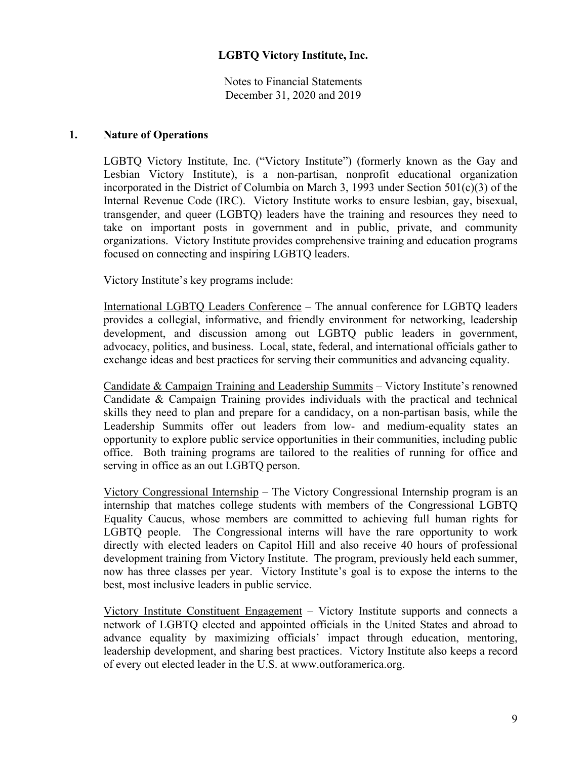Notes to Financial Statements December 31, 2020 and 2019

#### **1. Nature of Operations**

LGBTQ Victory Institute, Inc. ("Victory Institute") (formerly known as the Gay and Lesbian Victory Institute), is a non-partisan, nonprofit educational organization incorporated in the District of Columbia on March 3, 1993 under Section 501(c)(3) of the Internal Revenue Code (IRC). Victory Institute works to ensure lesbian, gay, bisexual, transgender, and queer (LGBTQ) leaders have the training and resources they need to take on important posts in government and in public, private, and community organizations. Victory Institute provides comprehensive training and education programs focused on connecting and inspiring LGBTQ leaders.

Victory Institute's key programs include:

International LGBTQ Leaders Conference – The annual conference for LGBTQ leaders provides a collegial, informative, and friendly environment for networking, leadership development, and discussion among out LGBTQ public leaders in government, advocacy, politics, and business. Local, state, federal, and international officials gather to exchange ideas and best practices for serving their communities and advancing equality.

Candidate & Campaign Training and Leadership Summits – Victory Institute's renowned Candidate & Campaign Training provides individuals with the practical and technical skills they need to plan and prepare for a candidacy, on a non-partisan basis, while the Leadership Summits offer out leaders from low- and medium-equality states an opportunity to explore public service opportunities in their communities, including public office. Both training programs are tailored to the realities of running for office and serving in office as an out LGBTQ person.

Victory Congressional Internship – The Victory Congressional Internship program is an internship that matches college students with members of the Congressional LGBTQ Equality Caucus, whose members are committed to achieving full human rights for LGBTQ people. The Congressional interns will have the rare opportunity to work directly with elected leaders on Capitol Hill and also receive 40 hours of professional development training from Victory Institute. The program, previously held each summer, now has three classes per year. Victory Institute's goal is to expose the interns to the best, most inclusive leaders in public service.

Victory Institute Constituent Engagement – Victory Institute supports and connects a network of LGBTQ elected and appointed officials in the United States and abroad to advance equality by maximizing officials' impact through education, mentoring, leadership development, and sharing best practices. Victory Institute also keeps a record of every out elected leader in the U.S. at www.outforamerica.org.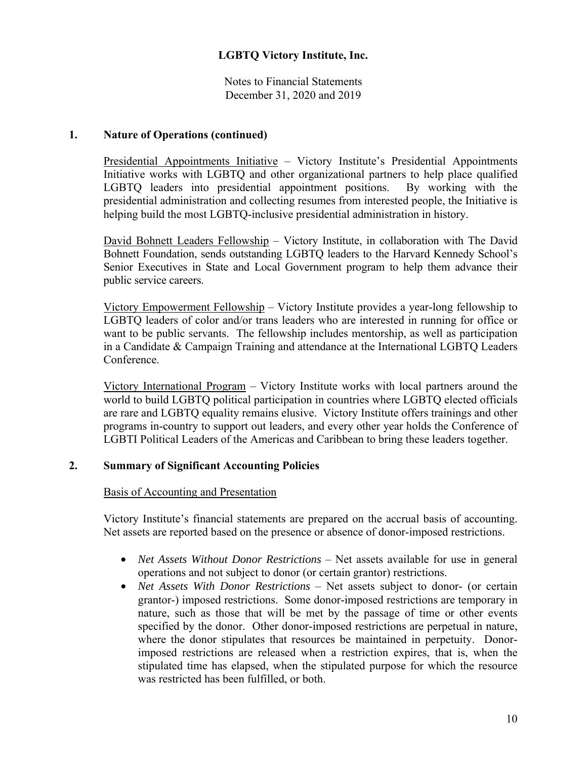Notes to Financial Statements December 31, 2020 and 2019

### **1. Nature of Operations (continued)**

Presidential Appointments Initiative – Victory Institute's Presidential Appointments Initiative works with LGBTQ and other organizational partners to help place qualified LGBTQ leaders into presidential appointment positions. By working with the presidential administration and collecting resumes from interested people, the Initiative is helping build the most LGBTQ-inclusive presidential administration in history.

David Bohnett Leaders Fellowship – Victory Institute, in collaboration with The David Bohnett Foundation, sends outstanding LGBTQ leaders to the Harvard Kennedy School's Senior Executives in State and Local Government program to help them advance their public service careers.

Victory Empowerment Fellowship – Victory Institute provides a year-long fellowship to LGBTQ leaders of color and/or trans leaders who are interested in running for office or want to be public servants. The fellowship includes mentorship, as well as participation in a Candidate & Campaign Training and attendance at the International LGBTQ Leaders Conference.

Victory International Program – Victory Institute works with local partners around the world to build LGBTQ political participation in countries where LGBTQ elected officials are rare and LGBTQ equality remains elusive. Victory Institute offers trainings and other programs in-country to support out leaders, and every other year holds the Conference of LGBTI Political Leaders of the Americas and Caribbean to bring these leaders together.

### **2. Summary of Significant Accounting Policies**

### Basis of Accounting and Presentation

Victory Institute's financial statements are prepared on the accrual basis of accounting. Net assets are reported based on the presence or absence of donor-imposed restrictions.

- *Net Assets Without Donor Restrictions* Net assets available for use in general operations and not subject to donor (or certain grantor) restrictions.
- *Net Assets With Donor Restrictions* Net assets subject to donor- (or certain grantor-) imposed restrictions. Some donor-imposed restrictions are temporary in nature, such as those that will be met by the passage of time or other events specified by the donor. Other donor-imposed restrictions are perpetual in nature, where the donor stipulates that resources be maintained in perpetuity. Donorimposed restrictions are released when a restriction expires, that is, when the stipulated time has elapsed, when the stipulated purpose for which the resource was restricted has been fulfilled, or both.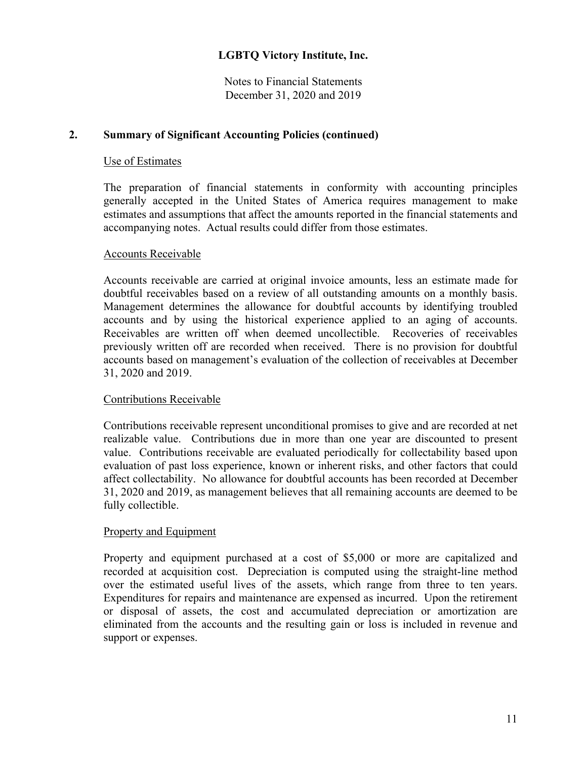Notes to Financial Statements December 31, 2020 and 2019

### **2. Summary of Significant Accounting Policies (continued)**

### Use of Estimates

The preparation of financial statements in conformity with accounting principles generally accepted in the United States of America requires management to make estimates and assumptions that affect the amounts reported in the financial statements and accompanying notes. Actual results could differ from those estimates.

#### Accounts Receivable

Accounts receivable are carried at original invoice amounts, less an estimate made for doubtful receivables based on a review of all outstanding amounts on a monthly basis. Management determines the allowance for doubtful accounts by identifying troubled accounts and by using the historical experience applied to an aging of accounts. Receivables are written off when deemed uncollectible. Recoveries of receivables previously written off are recorded when received. There is no provision for doubtful accounts based on management's evaluation of the collection of receivables at December 31, 2020 and 2019.

### Contributions Receivable

Contributions receivable represent unconditional promises to give and are recorded at net realizable value. Contributions due in more than one year are discounted to present value. Contributions receivable are evaluated periodically for collectability based upon evaluation of past loss experience, known or inherent risks, and other factors that could affect collectability. No allowance for doubtful accounts has been recorded at December 31, 2020 and 2019, as management believes that all remaining accounts are deemed to be fully collectible.

### Property and Equipment

Property and equipment purchased at a cost of \$5,000 or more are capitalized and recorded at acquisition cost. Depreciation is computed using the straight-line method over the estimated useful lives of the assets, which range from three to ten years. Expenditures for repairs and maintenance are expensed as incurred. Upon the retirement or disposal of assets, the cost and accumulated depreciation or amortization are eliminated from the accounts and the resulting gain or loss is included in revenue and support or expenses.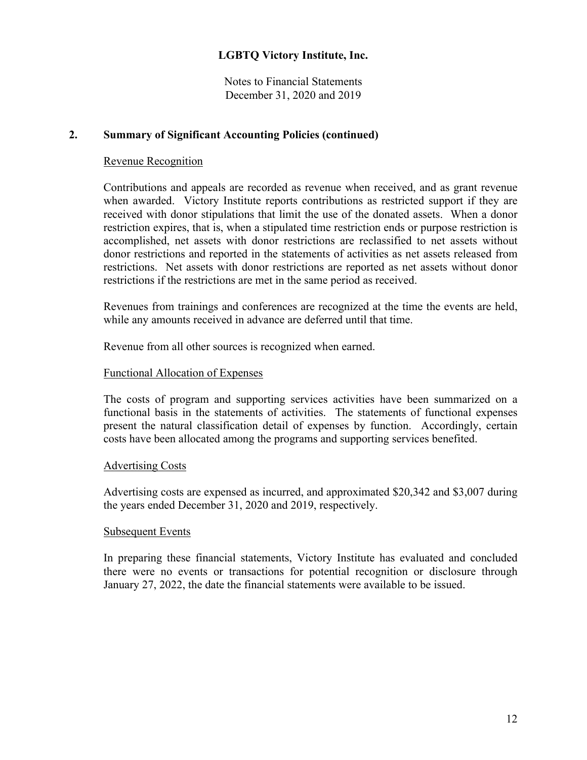Notes to Financial Statements December 31, 2020 and 2019

### **2. Summary of Significant Accounting Policies (continued)**

#### Revenue Recognition

Contributions and appeals are recorded as revenue when received, and as grant revenue when awarded. Victory Institute reports contributions as restricted support if they are received with donor stipulations that limit the use of the donated assets. When a donor restriction expires, that is, when a stipulated time restriction ends or purpose restriction is accomplished, net assets with donor restrictions are reclassified to net assets without donor restrictions and reported in the statements of activities as net assets released from restrictions. Net assets with donor restrictions are reported as net assets without donor restrictions if the restrictions are met in the same period as received.

Revenues from trainings and conferences are recognized at the time the events are held, while any amounts received in advance are deferred until that time.

Revenue from all other sources is recognized when earned.

#### Functional Allocation of Expenses

The costs of program and supporting services activities have been summarized on a functional basis in the statements of activities. The statements of functional expenses present the natural classification detail of expenses by function. Accordingly, certain costs have been allocated among the programs and supporting services benefited.

#### Advertising Costs

Advertising costs are expensed as incurred, and approximated \$20,342 and \$3,007 during the years ended December 31, 2020 and 2019, respectively.

#### Subsequent Events

In preparing these financial statements, Victory Institute has evaluated and concluded there were no events or transactions for potential recognition or disclosure through January 27, 2022, the date the financial statements were available to be issued.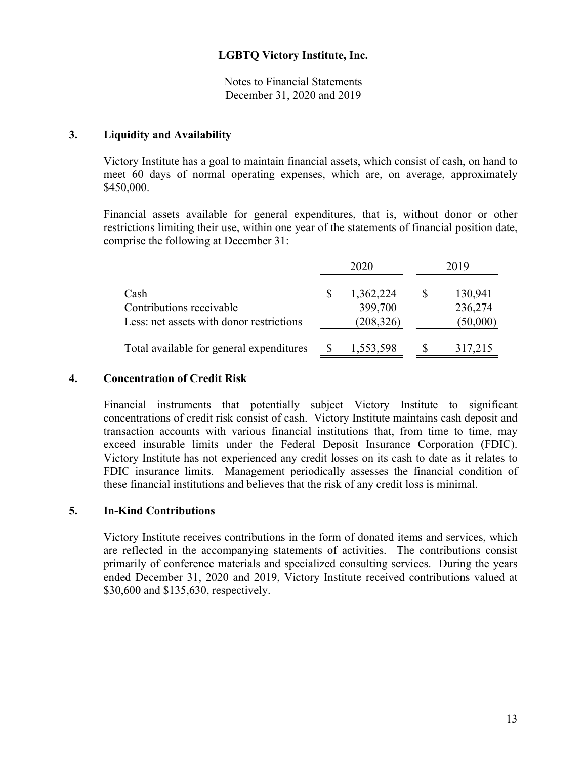Notes to Financial Statements December 31, 2020 and 2019

#### **3. Liquidity and Availability**

Victory Institute has a goal to maintain financial assets, which consist of cash, on hand to meet 60 days of normal operating expenses, which are, on average, approximately \$450,000.

Financial assets available for general expenditures, that is, without donor or other restrictions limiting their use, within one year of the statements of financial position date, comprise the following at December 31:

|                                                                              | 2020                               | 2019                           |
|------------------------------------------------------------------------------|------------------------------------|--------------------------------|
| Cash<br>Contributions receivable<br>Less: net assets with donor restrictions | 1,362,224<br>399,700<br>(208, 326) | 130,941<br>236,274<br>(50,000) |
| Total available for general expenditures                                     | 1,553,598                          | 317,215                        |

#### **4. Concentration of Credit Risk**

Financial instruments that potentially subject Victory Institute to significant concentrations of credit risk consist of cash. Victory Institute maintains cash deposit and transaction accounts with various financial institutions that, from time to time, may exceed insurable limits under the Federal Deposit Insurance Corporation (FDIC). Victory Institute has not experienced any credit losses on its cash to date as it relates to FDIC insurance limits. Management periodically assesses the financial condition of these financial institutions and believes that the risk of any credit loss is minimal.

### **5. In-Kind Contributions**

Victory Institute receives contributions in the form of donated items and services, which are reflected in the accompanying statements of activities. The contributions consist primarily of conference materials and specialized consulting services. During the years ended December 31, 2020 and 2019, Victory Institute received contributions valued at \$30,600 and \$135,630, respectively.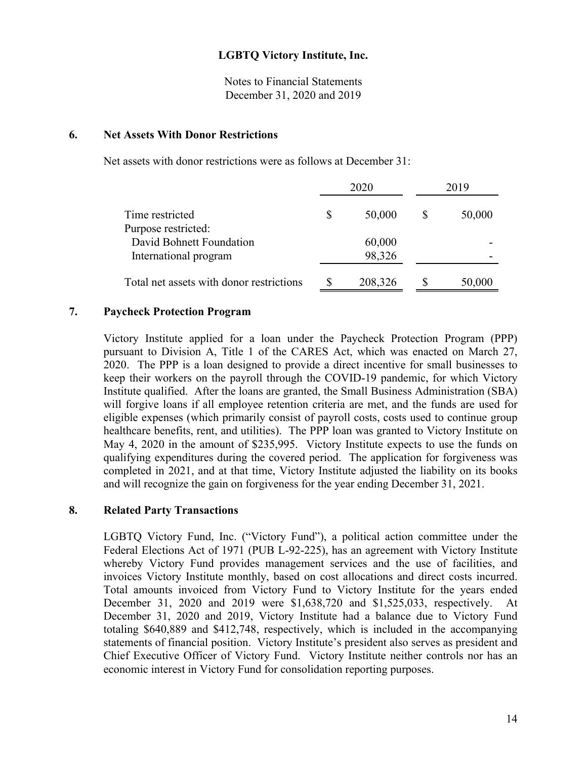Notes to Financial Statements December 31, 2020 and 2019

#### **6. Net Assets With Donor Restrictions**

Net assets with donor restrictions were as follows at December 31:

|                                          | 2020         | 2019   |
|------------------------------------------|--------------|--------|
| Time restricted                          | \$<br>50,000 | 50,000 |
| Purpose restricted:                      |              |        |
| David Bohnett Foundation                 | 60,000       |        |
| International program                    | 98,326       |        |
| Total net assets with donor restrictions | 208,326      | 50,000 |

#### **7. Paycheck Protection Program**

Victory Institute applied for a loan under the Paycheck Protection Program (PPP) pursuant to Division A, Title 1 of the CARES Act, which was enacted on March 27, 2020. The PPP is a loan designed to provide a direct incentive for small businesses to keep their workers on the payroll through the COVID-19 pandemic, for which Victory Institute qualified. After the loans are granted, the Small Business Administration (SBA) will forgive loans if all employee retention criteria are met, and the funds are used for eligible expenses (which primarily consist of payroll costs, costs used to continue group healthcare benefits, rent, and utilities). The PPP loan was granted to Victory Institute on May 4, 2020 in the amount of \$235,995. Victory Institute expects to use the funds on qualifying expenditures during the covered period. The application for forgiveness was completed in 2021, and at that time, Victory Institute adjusted the liability on its books and will recognize the gain on forgiveness for the year ending December 31, 2021.

### **8. Related Party Transactions**

LGBTQ Victory Fund, Inc. ("Victory Fund"), a political action committee under the Federal Elections Act of 1971 (PUB L-92-225), has an agreement with Victory Institute whereby Victory Fund provides management services and the use of facilities, and invoices Victory Institute monthly, based on cost allocations and direct costs incurred. Total amounts invoiced from Victory Fund to Victory Institute for the years ended December 31, 2020 and 2019 were \$1,638,720 and \$1,525,033, respectively. At December 31, 2020 and 2019, Victory Institute had a balance due to Victory Fund totaling \$640,889 and \$412,748, respectively, which is included in the accompanying statements of financial position. Victory Institute's president also serves as president and Chief Executive Officer of Victory Fund. Victory Institute neither controls nor has an economic interest in Victory Fund for consolidation reporting purposes.